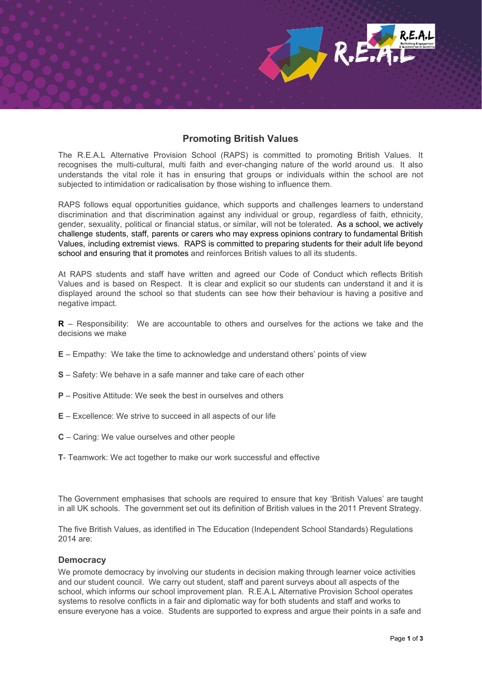# **Promoting British Values**

The R.E.A.L Alternative Provision School (RAPS) is committed to promoting British Values. It recognises the multi-cultural, multi faith and ever-changing nature of the world around us. It also understands the vital role it has in ensuring that groups or individuals within the school are not subjected to intimidation or radicalisation by those wishing to influence them.

RAPS follows equal opportunities guidance, which supports and challenges learners to understand discrimination and that discrimination against any individual or group, regardless of faith, ethnicity, gender, sexuality, political or financial status, or similar, will not be tolerated. As a school, we actively challenge students, staff, parents or carers who may express opinions contrary to fundamental British Values, including extremist views. RAPS is committed to preparing students for their adult life beyond school and ensuring that it promotes and reinforces British values to all its students.

At RAPS students and staff have written and agreed our Code of Conduct which reflects British Values and is based on Respect. It is clear and explicit so our students can understand it and it is displayed around the school so that students can see how their behaviour is having a positive and negative impact.

**R** – Responsibility: We are accountable to others and ourselves for the actions we take and the decisions we make

- **E** Empathy: We take the time to acknowledge and understand others' points of view
- **S** Safety: We behave in a safe manner and take care of each other
- **P** Positive Attitude: We seek the best in ourselves and others
- **E** Excellence: We strive to succeed in all aspects of our life
- **C** Caring: We value ourselves and other people
- **T** Teamwork: We act together to make our work successful and effective

The Government emphasises that schools are required to ensure that key 'British Values' are taught in all UK schools. The government set out its definition of British values in the 2011 Prevent Strategy.

The five British Values, as identified in The Education (Independent School Standards) Regulations 2014 are:

# **Democracy**

We promote democracy by involving our students in decision making through learner voice activities and our student council. We carry out student, staff and parent surveys about all aspects of the school, which informs our school improvement plan. R.E.A.L Alternative Provision School operates systems to resolve conflicts in a fair and diplomatic way for both students and staff and works to ensure everyone has a voice. Students are supported to express and argue their points in a safe and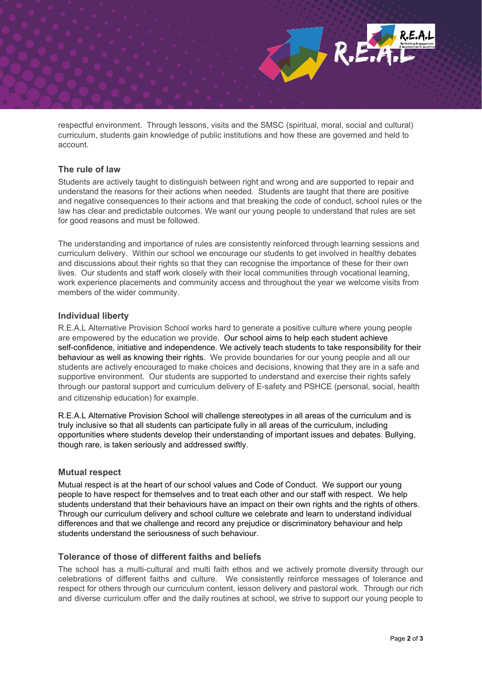

respectful environment. Through lessons, visits and the SMSC (spiritual, moral, social and cultural) curriculum, students gain knowledge of public institutions and how these are governed and held to account.

# **The rule of law**

Students are actively taught to distinguish between right and wrong and are supported to repair and understand the reasons for their actions when needed. Students are taught that there are positive and negative consequences to their actions and that breaking the code of conduct, school rules or the law has clear and predictable outcomes. We want our young people to understand that rules are set for good reasons and must be followed.

The understanding and importance of rules are consistently reinforced through learning sessions and curriculum delivery. Within our school we encourage our students to get involved in healthy debates and discussions about their rights so that they can recognise the importance of these for their own lives. Our students and staff work closely with their local communities through vocational learning, work experience placements and community access and throughout the year we welcome visits from members of the wider community.

## **Individual liberty**

R.E.A.L Alternative Provision School works hard to generate a positive culture where young people are empowered by the education we provide. Our school aims to help each student achieve self-confidence, initiative and independence. We actively teach students to take responsibility for their behaviour as well as knowing their rights. We provide boundaries for our young people and all our students are actively encouraged to make choices and decisions, knowing that they are in a safe and supportive environment. Our students are supported to understand and exercise their rights safely through our pastoral support and curriculum delivery of E-safety and PSHCE (personal, social, health and citizenship education) for example.

R.E.A.L Alternative Provision School will challenge stereotypes in all areas of the curriculum and is truly inclusive so that all students can participate fully in all areas of the curriculum, including opportunities where students develop their understanding of important issues and debates. Bullying, though rare, is taken seriously and addressed swiftly.

## **Mutual respect**

Mutual respect is at the heart of our school values and Code of Conduct. We support our young people to have respect for themselves and to treat each other and our staff with respect. We help students understand that their behaviours have an impact on their own rights and the rights of others. Through our curriculum delivery and school culture we celebrate and learn to understand individual differences and that we challenge and record any prejudice or discriminatory behaviour and help students understand the seriousness of such behaviour.

# **Tolerance of those of different faiths and beliefs**

The school has a multi-cultural and multi faith ethos and we actively promote diversity through our celebrations of different faiths and culture. We consistently reinforce messages of tolerance and respect for others through our curriculum content, lesson delivery and pastoral work. Through our rich and diverse curriculum offer and the daily routines at school, we strive to support our young people to